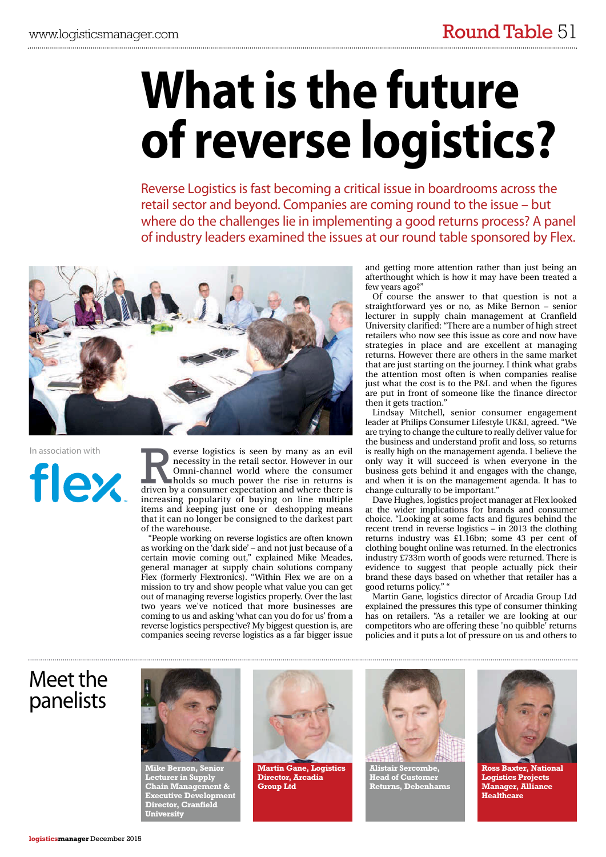# **What is the future of reverse logistics?**

Reverse Logistics is fast becoming a critical issue in boardrooms across the retail sector and beyond. Companies are coming round to the issue – but where do the challenges lie in implementing a good returns process? A panel of industry leaders examined the issues at our round table sponsored by Flex.



In association with



**EXECUTE IS A CONSUMED SERVIET SERVIET SERVIET SERVIET SERVIET SURFERING SO MUCHA SO MUCHA SO MUCHA A CONSUMED SO MUCHA A CONSUMED SO MUCHA A CONSUMED SO MUCHA A CONSUMED SO WE ARE SO THAT A CONSUMED SO WE ARE SO THAT A CO** necessity in the retail sector. However in our Omni-channel world where the consumer holds so much power the rise in returns is increasing popularity of buying on line multiple items and keeping just one or deshopping means that it can no longer be consigned to the darkest part of the warehouse.

"People working on reverse logistics are often known as working on the 'dark side' – and not just because of a certain movie coming out," explained Mike Meades, general manager at supply chain solutions company Flex (formerly Flextronics). "Within Flex we are on a mission to try and show people what value you can get out of managing reverse logistics properly. Over the last two years we've noticed that more businesses are coming to us and asking 'what can you do for us' from a reverse logistics perspective? My biggest question is, are companies seeing reverse logistics as a far bigger issue

and getting more attention rather than just being an afterthought which is how it may have been treated a few years ago?"

Of course the answer to that question is not a straightforward yes or no, as Mike Bernon – senior lecturer in supply chain management at Cranfield University clarified: "There are a number of high street retailers who now see this issue as core and now have strategies in place and are excellent at managing returns. However there are others in the same market that are just starting on the journey. I think what grabs the attention most often is when companies realise just what the cost is to the P&L and when the figures are put in front of someone like the finance director then it gets traction."

Lindsay Mitchell, senior consumer engagement leader at Philips Consumer Lifestyle UK&I, agreed. "We are trying to change the culture to really deliver value for the business and understand profit and loss, so returns is really high on the management agenda. I believe the only way it will succeed is when everyone in the business gets behind it and engages with the change, and when it is on the management agenda. It has to change culturally to be important."

Dave Hughes, logistics project manager at Flex looked at the wider implications for brands and consumer choice. "Looking at some facts and figures behind the recent trend in reverse logistics – in 2013 the clothing returns industry was £1.16bn; some 43 per cent of clothing bought online was returned. In the electronics industry £733m worth of goods were returned. There is evidence to suggest that people actually pick their brand these days based on whether that retailer has a good returns policy." "

Martin Gane, logistics director of Arcadia Group Ltd explained the pressures this type of consumer thinking has on retailers. "As a retailer we are looking at our competitors who are offering these 'no quibble' returns policies and it puts a lot of pressure on us and others to

### Meet the panelists



**Mike Bernon, Senior Lecturer in Supply Chain Management & Executive Development Director, Cranfield University**



**Martin Gane, Logistics Director, Arcadia Group Ltd**



**Alistair Sercombe, Head of Customer Returns, Debenhams**



**Ross Baxter, National Logistics Projects Manager, Alliance Healthcare**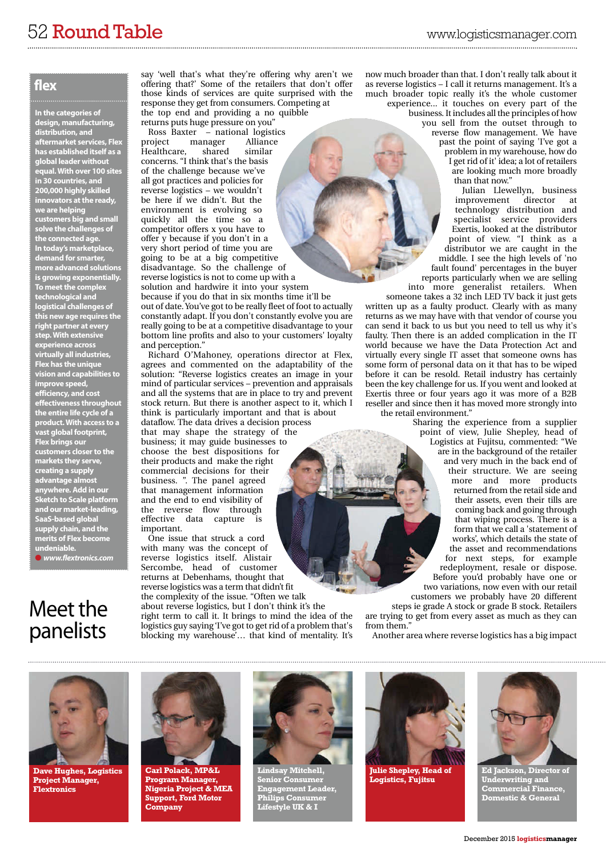## 52 Round Table [www.logisticsmanager.com](http://www.logisticsmanager.com)

#### **flex**

**In the categories of design, manufacturing, distribution, and aftermarket services, Flex has established itself as a global leader without equal. With over 100 sites in 30 countries, and 200,000 highly skilled innovators at the ready, we are helping customers big and small solve the challenges of the connected age. In today's marketplace, demand for smarter, more advanced solutions is growing exponentially. To meet the complex technological and logistical challenges of this new age requires the right partner at every step. With extensive experience across virtually all industries, Flex has the unique vision and capabilities to improve speed, efficiency, and cost effectiveness throughout the entire life cycle of a product. With access to a vast global footprint, Flex brings our customers closer to the markets they serve, creating a supply advantage almost anywhere. Add in our Sketch to Scale platform and our market-leading, SaaS-based global supply chain, and the merits of Flex become undeniable.** ● *[www.flextronics.com](http://www.flextronics.com)*

Meet the

panelists

say 'well that's what they're offering why aren't we offering that?' Some of the retailers that don't offer those kinds of services are quite surprised with the response they get from consumers. Competing at the top end and providing a no quibble

returns puts huge pressure on you" Ross Baxter – national logistics<br>project manager Alliance manager Alliance<br>shared similar Healthcare, shared concerns. "I think that's the basis of the challenge because we've all got practices and policies for reverse logistics – we wouldn't be here if we didn't. But the environment is evolving so quickly all the time so a competitor offers x you have to offer y because if you don't in a very short period of time you are going to be at a big competitive disadvantage. So the challenge of reverse logistics is not to come up with a solution and hardwire it into your system because if you do that in six months time it'll be out of date. You've got to be really fleet of foot to actually constantly adapt. If you don't constantly evolve you are really going to be at a competitive disadvantage to your bottom line profits and also to your customers' loyalty and perception."

Richard O'Mahoney, operations director at Flex, agrees and commented on the adaptability of the solution: "Reverse logistics creates an image in your mind of particular services – prevention and appraisals and all the systems that are in place to try and prevent stock return. But there is another aspect to it, which I think is particularly important and that is about

dataflow. The data drives a decision process that may shape the strategy of the business; it may guide businesses to choose the best dispositions for their products and make the right commercial decisions for their business. ". The panel agreed that management information and the end to end visibility of the reverse flow through effective data capture is important.

One issue that struck a cord with many was the concept of reverse logistics itself. Alistair Sercombe, head of customer returns at Debenhams, thought that reverse logistics was a term that didn't fit the complexity of the issue. "Often we talk

about reverse logistics, but I don't think it's the right term to call it. It brings to mind the idea of the logistics guy saying 'I've got to get rid of a problem that's blocking my warehouse'… that kind of mentality. It's now much broader than that. I don't really talk about it as reverse logistics – I call it returns management. It's a much broader topic really it's the whole customer experience... it touches on every part of the

business. It includes all the principles of how you sell from the outset through to reverse flow management. We have past the point of saying 'I've got a problem in my warehouse, how do I get rid of it' idea; a lot of retailers are looking much more broadly than that now."

Julian Llewellyn, business improvement director at technology distribution and specialist service providers Exertis, looked at the distributor point of view. "I think as a distributor we are caught in the middle. I see the high levels of 'no fault found' percentages in the buyer reports particularly when we are selling into more generalist retailers. When

someone takes a 32 inch LED TV back it just gets written up as a faulty product. Clearly with as many returns as we may have with that vendor of course you can send it back to us but you need to tell us why it's faulty. Then there is an added complication in the IT world because we have the Data Protection Act and virtually every single IT asset that someone owns has some form of personal data on it that has to be wiped before it can be resold. Retail industry has certainly been the key challenge for us. If you went and looked at Exertis three or four years ago it was more of a B2B reseller and since then it has moved more strongly into the retail environment."

> Sharing the experience from a supplier point of view, Julie Shepley, head of Logistics at Fujitsu, commented: "We are in the background of the retailer and very much in the back end of their structure. We are seeing more and more products returned from the retail side and their assets, even their tills are coming back and going through that wiping process. There is a form that we call a 'statement of works', which details the state of the asset and recommendations for next steps, for example redeployment, resale or dispose. Before you'd probably have one or two variations, now even with our retail customers we probably have 20 different

steps ie grade A stock or grade B stock. Retailers are trying to get from every asset as much as they can from them."

Another area where reverse logistics has a big impact



**Dave Hughes, Logistics Project Manager, Flextronics**



**Carl Polack, MP&L Program Manager, Nigeria Project & MEA Support, Ford Motor Company**



**Lindsay Mitchell, Senior Consumer Engagement Leader, Philips Consumer Lifestyle UK & I**



**Julie Shepley, Head of Logistics, Fujitsu**



**Ed Jackson, Director of Underwriting and Commercial Finance, Domestic & General**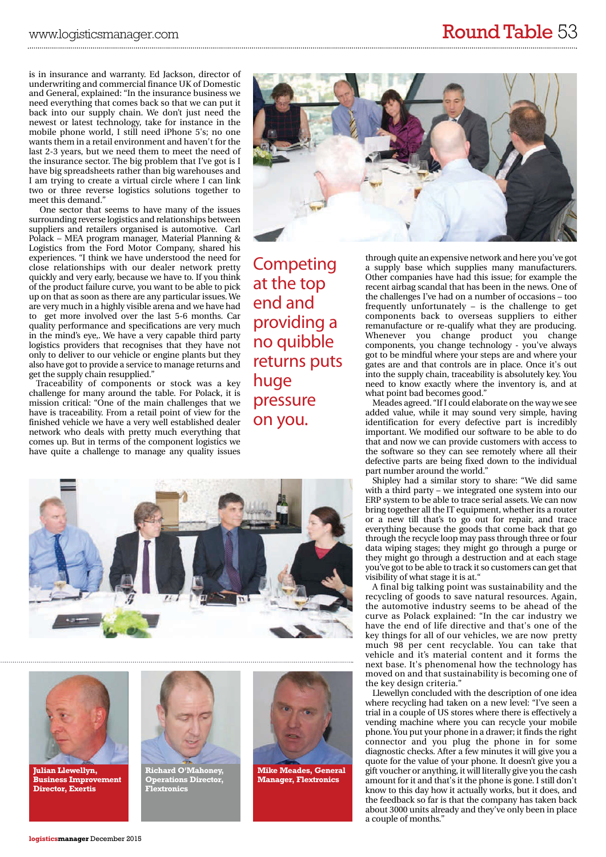is in insurance and warranty. Ed Jackson, director of underwriting and commercial finance UK of Domestic and General, explained: "In the insurance business we need everything that comes back so that we can put it back into our supply chain. We don't just need the newest or latest technology, take for instance in the mobile phone world, I still need iPhone 5's; no one wants them in a retail environment and haven't for the last 2-3 years, but we need them to meet the need of the insurance sector. The big problem that I've got is I have big spreadsheets rather than big warehouses and I am trying to create a virtual circle where I can link two or three reverse logistics solutions together to meet this demand."

One sector that seems to have many of the issues surrounding reverse logistics and relationships between suppliers and retailers organised is automotive. Carl Polack – MEA program manager, Material Planning & Logistics from the Ford Motor Company, shared his experiences. "I think we have understood the need for close relationships with our dealer network pretty quickly and very early, because we have to. If you think of the product failure curve, you want to be able to pick up on that as soon as there are any particular issues. We are very much in a highly visible arena and we have had to get more involved over the last 5-6 months. Car quality performance and specifications are very much in the mind's eye,. We have a very capable third party logistics providers that recognises that they have not only to deliver to our vehicle or engine plants but they also have got to provide a service to manage returns and get the supply chain resupplied."

Traceability of components or stock was a key challenge for many around the table. For Polack, it is mission critical: "One of the main challenges that we have is traceability. From a retail point of view for the finished vehicle we have a very well established dealer network who deals with pretty much everything that comes up. But in terms of the component logistics we have quite a challenge to manage any quality issues



**Competing** at the top end and providing a no quibble returns puts huge pressure on you.





**Julian Llewellyn, Business Improvement Director, Exertis**



**Richard O'Mahoney, Operations Director,** *<u>Lextronics</u>* 



**Mike Meades, General Manager, Flextronics**

through quite an expensive network and here you've got a supply base which supplies many manufacturers. Other companies have had this issue; for example the recent airbag scandal that has been in the news. One of the challenges I've had on a number of occasions – too frequently unfortunately – is the challenge to get components back to overseas suppliers to either remanufacture or re-qualify what they are producing. Whenever you change product you change components, you change technology - you've always got to be mindful where your steps are and where your gates are and that controls are in place. Once it's out into the supply chain, traceability is absolutely key. You need to know exactly where the inventory is, and at what point bad becomes good."

Meades agreed. "If I could elaborate on the way we see added value, while it may sound very simple, having identification for every defective part is incredibly important. We modified our software to be able to do that and now we can provide customers with access to the software so they can see remotely where all their defective parts are being fixed down to the individual part number around the world."

Shipley had a similar story to share: "We did same with a third party – we integrated one system into our ERP system to be able to trace serial assets. We can now bring together all the IT equipment, whether its a router or a new till that's to go out for repair, and trace everything because the goods that come back that go through the recycle loop may pass through three or four data wiping stages; they might go through a purge or they might go through a destruction and at each stage you've got to be able to track it so customers can get that visibility of what stage it is at."

A final big talking point was sustainability and the recycling of goods to save natural resources. Again, the automotive industry seems to be ahead of the curve as Polack explained: "In the car industry we have the end of life directive and that's one of the key things for all of our vehicles, we are now pretty much 98 per cent recyclable. You can take that vehicle and it's material content and it forms the next base. It's phenomenal how the technology has moved on and that sustainability is becoming one of the key design criteria."

Llewellyn concluded with the description of one idea where recycling had taken on a new level: "I've seen a trial in a couple of US stores where there is effectively a vending machine where you can recycle your mobile phone. You put your phone in a drawer; it finds the right connector and you plug the phone in for some diagnostic checks. After a few minutes it will give you a quote for the value of your phone. It doesn't give you a gift voucher or anything, it will literally give you the cash amount for it and that's it the phone is gone. I still don't know to this day how it actually works, but it does, and the feedback so far is that the company has taken back about 3000 units already and they've only been in place a couple of months."